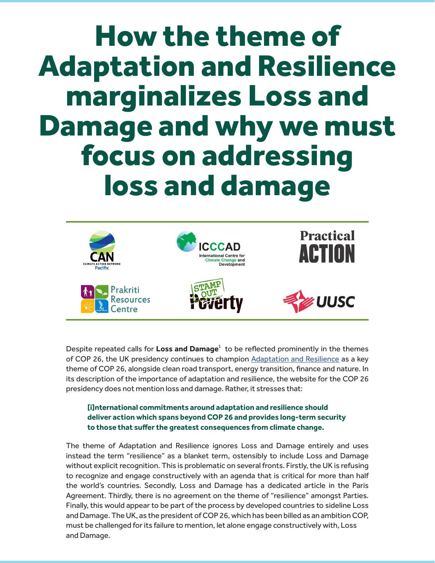# How the theme of Adaptation and Resilience marginalizes Loss and Damage and why we must focus on addressing loss and damage



Despite repeated calls for **Loss and Damage**<sup>1</sup> to be reflected prominently in the themes of COP 26, the UK presidency continues to champion [Adaptation and Resilience](https://ukcop26.org/uk-presidency/campaigns/) as a key theme of COP 26, alongside clean road transport, energy transition, finance and nature. In its description of the importance of adaptation and resilience, the website for the COP 26 presidency does not mention loss and damage. Rather, it stresses that:

#### **[i]nternational commitments around adaptation and resilience should deliver action which spans beyond COP 26 and provides long-term security to those that suffer the greatest consequences from climate change.**

The theme of Adaptation and Resilience ignores Loss and Damage entirely and uses instead the term "resilience" as a blanket term, ostensibly to include Loss and Damage without explicit recognition. This is problematic on several fronts. Firstly, the UK is refusing to recognize and engage constructively with an agenda that is critical for more than half the world's countries. Secondly, Loss and Damage has a dedicated article in the Paris Agreement. Thirdly, there is no agreement on the theme of "resilience" amongst Parties. Finally, this would appear to be part of the process by developed countries to sideline Loss and Damage. The UK, as the president of COP 26, which has been billed as an ambition COP, must be challenged for its failure to mention, let alone engage constructively with, Loss and Damage.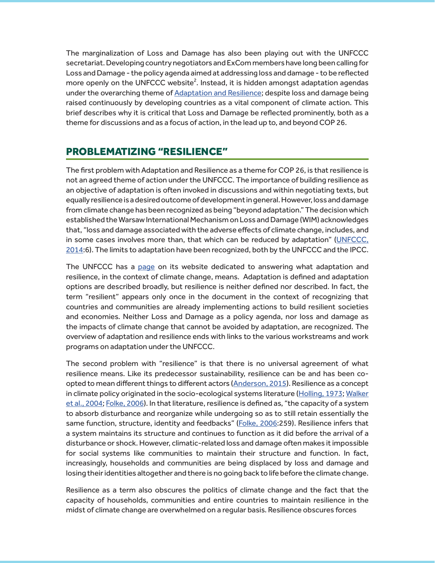The marginalization of Loss and Damage has also been playing out with the UNFCCC secretariat. Developing country negotiators and ExCom members have long been calling for Loss and Damage - the policy agenda aimed at addressing loss and damage - to be reflected more openly on the UNFCCC website $^2$ . Instead, it is hidden amongst adaptation agendas under the overarching theme of **[Adaptation and Resilience](https://unfccc.int/topics#:28deb0e5-7301-4c3f-a21f-8f3df254f2a4)**; despite loss and damage being raised continuously by developing countries as a vital component of climate action. This brief describes why it is critical that Loss and Damage be reflected prominently, both as a theme for discussions and as a focus of action, in the lead up to, and beyond COP 26.

# PROBLEMATIZING "RESILIENCE"

The first problem with Adaptation and Resilience as a theme for COP 26, is that resilience is not an agreed theme of action under the UNFCCC. The importance of building resilience as an objective of adaptation is often invoked in discussions and within negotiating texts, but equally resilience is a desired outcome of development in general. However, loss and damage from climate change has been recognized as being "beyond adaptation." The decision which established the Warsaw International Mechanism on Loss and Damage (WIM) acknowledges that, "loss and damage associated with the adverse effects of climate change, includes, and in some cases involves more than, that which can be reduced by adaptation" ([UNFCCC,](https://unfccc.int/resource/docs/2013/cop19/eng/10a01.pdf) [2014](https://unfccc.int/resource/docs/2013/cop19/eng/10a01.pdf):6). The limits to adaptation have been recognized, both by the UNFCCC and the IPCC.

The UNFCCC has a [page](https://unfccc.int/topics/adaptation-and-resilience/the-big-picture/what-do-adaptation-to-climate-change-and-climate-resilience-mean) on its website dedicated to answering what adaptation and resilience, in the context of climate change, means. Adaptation is defined and adaptation options are described broadly, but resilience is neither defined nor described. In fact, the term "resilient" appears only once in the document in the context of recognizing that countries and communities are already implementing actions to build resilient societies and economies. Neither Loss and Damage as a policy agenda, nor loss and damage as the impacts of climate change that cannot be avoided by adaptation, are recognized. The overview of adaptation and resilience ends with links to the various workstreams and work programs on adaptation under the UNFCCC.

The second problem with "resilience" is that there is no universal agreement of what resilience means. Like its predecessor sustainability, resilience can be and has been coopted to mean different things to different actors [\(Anderson, 2015](https://journals.sagepub.com/doi/10.1111/1467-9256.12079)). Resilience as a concept in climate policy originated in the socio-ecological systems literature [\(Holling, 1973](https://www.annualreviews.org/doi/10.1146/annurev.es.04.110173.000245); [Walker](https://www.jstor.org/stable/pdf/26267673.pdf) [et al., 2004](https://www.jstor.org/stable/pdf/26267673.pdf); [Folke, 2006](https://www.sciencedirect.com/science/article/pii/S0959378006000379)). In that literature, resilience is defined as, "the capacity of a system to absorb disturbance and reorganize while undergoing so as to still retain essentially the same function, structure, identity and feedbacks" [\(Folke, 2006](https://www.sciencedirect.com/science/article/pii/S0959378006000379):259). Resilience infers that a system maintains its structure and continues to function as it did before the arrival of a disturbance or shock. However, climatic-related loss and damage often makes it impossible for social systems like communities to maintain their structure and function. In fact, increasingly, households and communities are being displaced by loss and damage and losing their identities altogether and there is no going back to life before the climate change.

Resilience as a term also obscures the politics of climate change and the fact that the capacity of households, communities and entire countries to maintain resilience in the midst of climate change are overwhelmed on a regular basis. Resilience obscures forces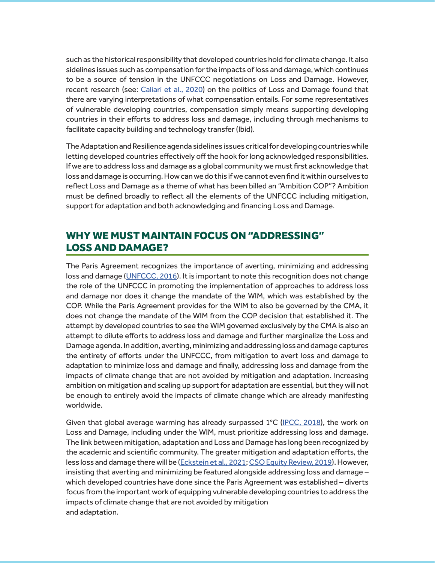such as the historical responsibility that developed countries hold for climate change. It also sidelines issues such as compensation for the impacts of loss and damage, which continues to be a source of tension in the UNFCCC negotiations on Loss and Damage. However, recent research (see: [Caliari et al., 2020](https://reader.elsevier.com/reader/sd/pii/S0959378020307160?token=6AA1A1B10CB44CAC99472260430931CAF7DD8ED1D76F9290BC0FB276D95218C9A86F51D55C0009E9F19C16A5BB42BF09)) on the politics of Loss and Damage found that there are varying interpretations of what compensation entails. For some representatives of vulnerable developing countries, compensation simply means supporting developing countries in their efforts to address loss and damage, including through mechanisms to facilitate capacity building and technology transfer (Ibid).

The Adaptation and Resilience agenda sidelines issues critical for developing countries while letting developed countries effectively off the hook for long acknowledged responsibilities. If we are to address loss and damage as a global community we must first acknowledge that loss and damage is occurring. How can we do this if we cannot even find it within ourselves to reflect Loss and Damage as a theme of what has been billed an "Ambition COP"? Ambition must be defined broadly to reflect all the elements of the UNFCCC including mitigation, support for adaptation and both acknowledging and financing Loss and Damage.

# WHY WE MUST MAINTAIN FOCUS ON "ADDRESSING" LOSS AND DAMAGE?

The Paris Agreement recognizes the importance of averting, minimizing and addressing loss and damage ([UNFCCC, 2016](https://unfccc.int/sites/default/files/english_paris_agreement.pdf)). It is important to note this recognition does not change the role of the UNFCCC in promoting the implementation of approaches to address loss and damage nor does it change the mandate of the WIM, which was established by the COP. While the Paris Agreement provides for the WIM to also be governed by the CMA, it does not change the mandate of the WIM from the COP decision that established it. The attempt by developed countries to see the WIM governed exclusively by the CMA is also an attempt to dilute efforts to address loss and damage and further marginalize the Loss and Damage agenda. In addition, averting, minimizing and addressing loss and damage captures the entirety of efforts under the UNFCCC, from mitigation to avert loss and damage to adaptation to minimize loss and damage and finally, addressing loss and damage from the impacts of climate change that are not avoided by mitigation and adaptation. Increasing ambition on mitigation and scaling up support for adaptation are essential, but they will not be enough to entirely avoid the impacts of climate change which are already manifesting worldwide.

Given that global average warming has already surpassed  $1^{\circ}$ C ([IPCC, 2018](https://www.ipcc.ch/sr15/)), the work on Loss and Damage, including under the WIM, must prioritize addressing loss and damage. The link between mitigation, adaptation and Loss and Damage has long been recognized by the academic and scientific community. The greater mitigation and adaptation efforts, the less loss and damage there will be ([Eckstein et al., 2021](https://germanwatch.org/en/19777/); [CSO Equity Review, 2019](http://civilsocietyreview.org/report2019)). However, insisting that averting and minimizing be featured alongside addressing loss and damage – which developed countries have done since the Paris Agreement was established – diverts focus from the important work of equipping vulnerable developing countries to address the impacts of climate change that are not avoided by mitigation and adaptation.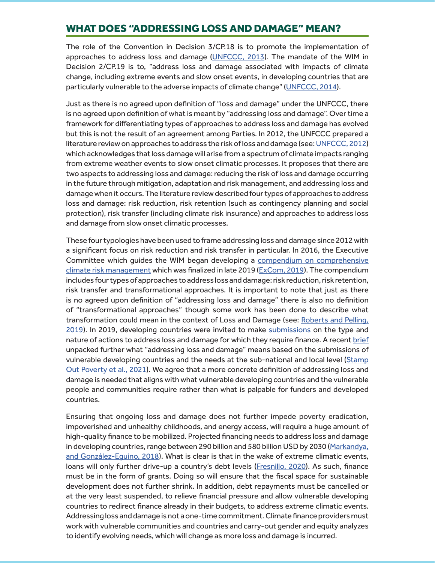# WHAT DOES "ADDRESSING LOSS AND DAMAGE" MEAN?

The role of the Convention in Decision 3/CP.18 is to promote the implementation of approaches to address loss and damage ([UNFCCC, 2013](http://civilsocietyreview.org/report2019)). The mandate of the WIM in Decision 2/CP.19 is to, "address loss and damage associated with impacts of climate change, including extreme events and slow onset events, in developing countries that are particularly vulnerable to the adverse impacts of climate change" ([UNFCCC, 2014](https://unfccc.int/resource/docs/2013/cop19/eng/10a01.pdf)).

Just as there is no agreed upon definition of "loss and damage" under the UNFCCC, there is no agreed upon definition of what is meant by "addressing loss and damage". Over time a framework for differentiating types of approaches to address loss and damage has evolved but this is not the result of an agreement among Parties. In 2012, the UNFCCC prepared a literature review on approaches to address the risk of loss and damage (see: [UNFCCC, 2012\)](https://germanwatch.org/en/19777/) which acknowledges that loss damage will arise from a spectrum of climate impacts ranging from extreme weather events to slow onset climatic processes. It proposes that there are two aspects to addressing loss and damage: reducing the risk of loss and damage occurring in the future through mitigation, adaptation and risk management, and addressing loss and damage when it occurs. The literature review described four types of approaches to address loss and damage: risk reduction, risk retention (such as contingency planning and social protection), risk transfer (including climate risk insurance) and approaches to address loss and damage from slow onset climatic processes.

These four typologies have been used to frame addressing loss and damage since 2012 with a significant focus on risk reduction and risk transfer in particular. In 2016, the Executive Committee which guides the WIM began developing a [compendium on comprehensive](https://unfccc.int/sites/default/files/resource/FINAL_AA3_Compendium_September_2019%28revised%29.pdf) [climate risk management](https://unfccc.int/sites/default/files/resource/FINAL_AA3_Compendium_September_2019%28revised%29.pdf) which was finalized in late 2019 ([ExCom, 2019\)](https://unfccc.int/sites/default/files/resource/FINAL_AA3_Compendium_September_2019%28revised%29.pdf). The compendium includes four types of approaches to address loss and damage: risk reduction, risk retention, risk transfer and transformational approaches. It is important to note that just as there is no agreed upon definition of "addressing loss and damage" there is also no definition of "transformational approaches" though some work has been done to describe what transformation could mean in the context of Loss and Damage (see: [Roberts and Pelling,](https://www.tandfonline.com/doi/abs/10.1080/14693062.2019.1680336) [2019\)](https://www.tandfonline.com/doi/abs/10.1080/14693062.2019.1680336). In 2019, developing countries were invited to make [submissions](https://unfccc.int/topics/adaptation-and-resilience/groups-committees/loss-and-damage-executive-committee/submissions-on-the-type-and-nature-of-actions-to-address-loss-and-damage-for-which-finance-may-be) on the type and nature of actions to address loss and damage for which they require finance. A recent [brief](https://www.robinhoodtax.org.uk/sites/default/files/Unpacking%20finance%20paper%202.FINAL_.pdf) unpacked further what "addressing loss and damage" means based on the submissions of vulnerable developing countries and the needs at the sub-national and local level ([Stamp](https://www.robinhoodtax.org.uk/sites/default/files/Unpacking%20finance%20paper%202.FINAL_.pdf) [Out Poverty et al., 2021](https://www.robinhoodtax.org.uk/sites/default/files/Unpacking%20finance%20paper%202.FINAL_.pdf)). We agree that a more concrete definition of addressing loss and damage is needed that aligns with what vulnerable developing countries and the vulnerable people and communities require rather than what is palpable for funders and developed countries.

Ensuring that ongoing loss and damage does not further impede poverty eradication, impoverished and unhealthy childhoods, and energy access, will require a huge amount of high-quality finance to be mobilized. Projected financing needs to address loss and damage in developing countries, range between 290 billion and 580 billion USD by 2030 ([Markandya,](https://link.springer.com/chapter/10.1007/978-3-319-72026-5_14) and González-Equino, 2018). What is clear is that in the wake of extreme climatic events, loans will only further drive-up a country's debt levels [\(Fresnillo, 2020](https://d3n8a8pro7vhmx.cloudfront.net/eurodad/pages/1945/attachments/original/1610462143/debt-and-climate-briefing-final.pdf?1610462143)). As such, finance must be in the form of grants. Doing so will ensure that the fiscal space for sustainable development does not further shrink. In addition, debt repayments must be cancelled or at the very least suspended, to relieve financial pressure and allow vulnerable developing countries to redirect finance already in their budgets, to address extreme climatic events. Addressing loss and damage is not a one-time commitment. Climate finance providers must work with vulnerable communities and countries and carry-out gender and equity analyzes to identify evolving needs, which will change as more loss and damage is incurred.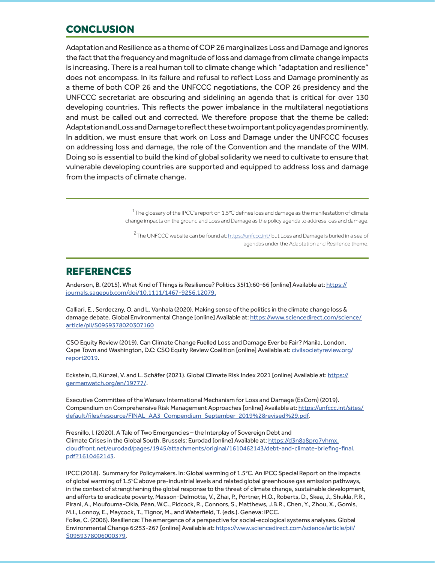# **CONCLUSION**

Adaptation and Resilience as a theme of COP 26 marginalizes Loss and Damage and ignores the fact that the frequency and magnitude of loss and damage from climate change impacts is increasing. There is a real human toll to climate change which "adaptation and resilience" does not encompass. In its failure and refusal to reflect Loss and Damage prominently as a theme of both COP 26 and the UNFCCC negotiations, the COP 26 presidency and the UNFCCC secretariat are obscuring and sidelining an agenda that is critical for over 130 developing countries. This reflects the power imbalance in the multilateral negotiations and must be called out and corrected. We therefore propose that the theme be called: Adaptation and Loss and Damage to reflect these two important policy agendas prominently. In addition, we must ensure that work on Loss and Damage under the UNFCCC focuses on addressing loss and damage, the role of the Convention and the mandate of the WIM. Doing so is essential to build the kind of global solidarity we need to cultivate to ensure that vulnerable developing countries are supported and equipped to address loss and damage from the impacts of climate change.

> $^{\rm 1}$ [The glossary of the IPCC's report on 1.5°C defines loss and damage as the manifestation of climate](https://nca2018.globalchange.gov  ) [change impacts on the ground and Loss and Damage as the policy agenda to address loss and damage.](https://nca2018.globalchange.gov  )

 $^{\mathsf{2}}$ The UNFCCC website can be found at: <u>https://unfccc.int/</u> but Loss and Damage is buried in a sea of agendas under the Adaptation and Resilience theme.

### REFERENCES

Anderson, B. (2015). What Kind of Things is Resilience? Politics 35(1):60-66 [online] Available at: [https://](https://journals.sagepub.com/doi/10.1111/1467-9256.12079.) [journals.sagepub.com/doi/10.1111/1467-9256.12079.](https://journals.sagepub.com/doi/10.1111/1467-9256.12079.)

Calliari, E., Serdeczny, O. and L. Vanhala (2020). Making sense of the politics in the climate change loss & damage debate. Global Environmental Change [online] Available at: [https://www.sciencedirect.com/science/](https://www.sciencedirect.com/science/article/pii/S0959378020307160) [article/pii/S0959378020307160](https://www.sciencedirect.com/science/article/pii/S0959378020307160)

CSO Equity Review (2019). Can Climate Change Fuelled Loss and Damage Ever be Fair? Manila, London, Cape Town and Washington, D.C: CSO Equity Review Coalition [online] Available at: [civilsocietyreview.org/](http://civilsocietyreview.org/report2019) [report2019.](http://civilsocietyreview.org/report2019)

Eckstein, D, Künzel, V. and L. Schäfer (2021). Global Climate Risk Index 2021 [online] Available at: [https://](https://germanwatch.org/en/19777/) [germanwatch.org/en/19777/](https://germanwatch.org/en/19777/).

Executive Committee of the Warsaw International Mechanism for Loss and Damage (ExCom) (2019). Compendium on Comprehensive Risk Management Approaches [online] Available at: [https://unfccc.int/sites/](https://unfccc.int/sites/default/files/resource/FINAL_AA3_Compendium_September_2019%28revised%29.pdf) [default/files/resource/FINAL\\_AA3\\_Compendium\\_September\\_2019%28revised%29.pdf](https://unfccc.int/sites/default/files/resource/FINAL_AA3_Compendium_September_2019%28revised%29.pdf).

Fresnillo, I. (2020). A Tale of Two Emergencies – the Interplay of Sovereign Debt and Climate Crises in the Global South. Brussels: Eurodad [online] Available at: [https://d3n8a8pro7vhmx.](https://d3n8a8pro7vhmx.cloudfront.net/eurodad/pages/1945/attachments/original/1610462143/debt-and-climate-briefing-final.pdf?1610462143) [cloudfront.net/eurodad/pages/1945/attachments/original/1610462143/debt-and-climate-briefing-final.](https://d3n8a8pro7vhmx.cloudfront.net/eurodad/pages/1945/attachments/original/1610462143/debt-and-climate-briefing-final.pdf?1610462143) [pdf?1610462143](https://d3n8a8pro7vhmx.cloudfront.net/eurodad/pages/1945/attachments/original/1610462143/debt-and-climate-briefing-final.pdf?1610462143).

IPCC (2018). Summary for Policymakers. In: Global warming of 1.5°C. An IPCC Special Report on the impacts of global warming of 1.5°C above pre-industrial levels and related global greenhouse gas emission pathways, in the context of strengthening the global response to the threat of climate change, sustainable development, and efforts to eradicate poverty, Masson-Delmotte, V., Zhai, P., Pörtner, H.O., Roberts, D., Skea, J., Shukla, P.R., Pirani, A., Moufouma-Okia, Péan, W.C., Pidcock, R., Connors, S., Matthews, J.B.R., Chen, Y., Zhou, X., Gomis, M.I., Lonnoy, E., Maycock, T., Tignor, M., and Waterfield, T. (eds.). Geneva: IPCC.

Folke, C. (2006). Resilience: The emergence of a perspective for social-ecological systems analyses. Global Environmental Change 6:253-267 [online] Available at: [https://www.sciencedirect.com/science/article/pii/](https://www.sciencedirect.com/science/article/pii/S0959378006000379) [S0959378006000379.](https://www.sciencedirect.com/science/article/pii/S0959378006000379)